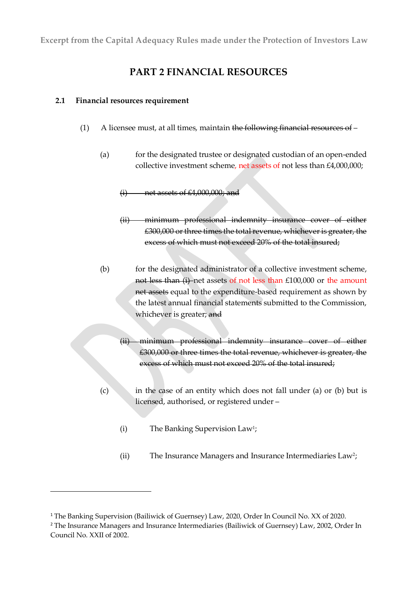**Excerpt from the Capital Adequacy Rules made under the Protection of Investors Law**

## **PART 2 FINANCIAL RESOURCES**

#### **2.1 Financial resources requirement**

- (1) A licensee must, at all times, maintain the following financial resources of  $-$ 
	- (a) for the designated trustee or designated custodian of an open-ended collective investment scheme, net assets of not less than £4,000,000;
		- (i) net assets of £4,000,000; and
		- (ii) minimum professional indemnity insurance cover of either £300,000 or three times the total revenue, whichever is greater, the excess of which must not exceed 20% of the total insured;
	- (b) for the designated administrator of a collective investment scheme, not less than (i)–net assets of not less than £100,000 or the amount net assets equal to the expenditure-based requirement as shown by the latest annual financial statements submitted to the Commission, whichever is greater; and
		- (ii) minimum professional indemnity insurance cover of either £300,000 or three times the total revenue, whichever is greater, the excess of which must not exceed 20% of the total insured;
	- (c) in the case of an entity which does not fall under (a) or (b) but is licensed, authorised, or registered under –
		- (i) The Banking Supervision Law<sup>1</sup> ;
		- (ii) The Insurance Managers and Insurance Intermediaries Law<sup>2</sup>;

<sup>1</sup> The Banking Supervision (Bailiwick of Guernsey) Law, 2020, Order In Council No. XX of 2020.

<sup>&</sup>lt;sup>2</sup> The Insurance Managers and Insurance Intermediaries (Bailiwick of Guernsey) Law, 2002, Order In Council No. XXII of 2002.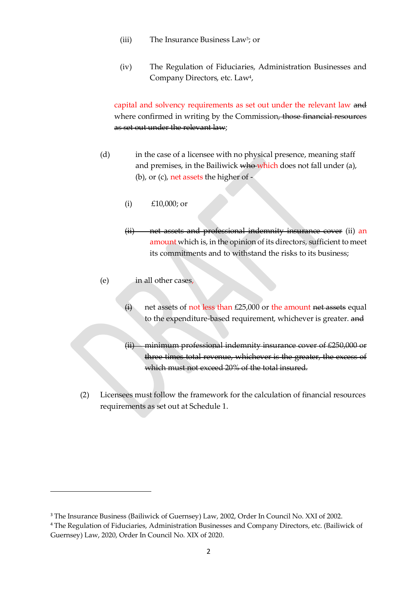- (iii) The Insurance Business Law<sup>3</sup>; or
- (iv) The Regulation of Fiduciaries, Administration Businesses and Company Directors, etc. Law<sup>4</sup>,

capital and solvency requirements as set out under the relevant law and where confirmed in writing by the Commission, those financial resources as set out under the relevant law;

- (d) in the case of a licensee with no physical presence, meaning staff and premises, in the Bailiwick  $w$  how hich does not fall under (a), (b), or (c), net assets the higher of -
	- (i) £10,000; or
	- (ii) net assets and professional indemnity insurance cover (ii) an amount which is, in the opinion of its directors, sufficient to meet its commitments and to withstand the risks to its business;
- (e) in all other cases,
	- $(i)$  net assets of not less than £25,000 or the amount net assets equal to the expenditure-based requirement, whichever is greater. and
	- (ii) minimum professional indemnity insurance cover of £250,000 or three times total revenue, whichever is the greater, the excess of which must not exceed 20% of the total insured.
- (2) Licensees must follow the framework for the calculation of financial resources requirements as set out at Schedule 1.

<sup>&</sup>lt;sup>3</sup> The Insurance Business (Bailiwick of Guernsey) Law, 2002, Order In Council No. XXI of 2002. <sup>4</sup> The Regulation of Fiduciaries, Administration Businesses and Company Directors, etc. (Bailiwick of Guernsey) Law, 2020, Order In Council No. XIX of 2020.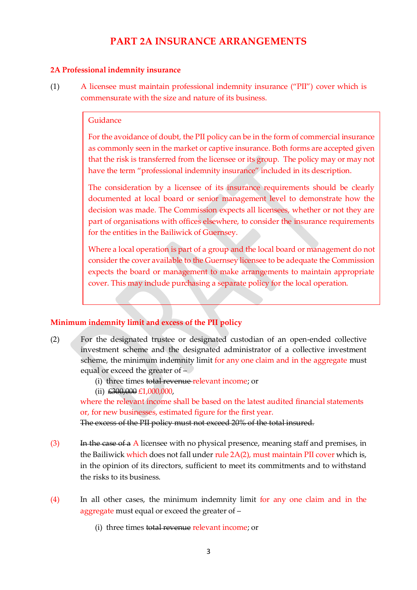## **PART 2A INSURANCE ARRANGEMENTS**

#### **2A Professional indemnity insurance**

(1) A licensee must maintain professional indemnity insurance ("PII") cover which is commensurate with the size and nature of its business.

#### Guidance

For the avoidance of doubt, the PII policy can be in the form of commercial insurance as commonly seen in the market or captive insurance. Both forms are accepted given that the risk is transferred from the licensee or its group. The policy may or may not have the term "professional indemnity insurance" included in its description.

The consideration by a licensee of its insurance requirements should be clearly documented at local board or senior management level to demonstrate how the decision was made. The Commission expects all licensees, whether or not they are part of organisations with offices elsewhere, to consider the insurance requirements for the entities in the Bailiwick of Guernsey.

Where a local operation is part of a group and the local board or management do not consider the cover available to the Guernsey licensee to be adequate the Commission expects the board or management to make arrangements to maintain appropriate cover. This may include purchasing a separate policy for the local operation.

#### **Minimum indemnity limit and excess of the PII policy**

- (2) For the designated trustee or designated custodian of an open-ended collective investment scheme and the designated administrator of a collective investment scheme, the minimum indemnity limit for any one claim and in the aggregate must equal or exceed the greater of –
	- (i) three times total revenue relevant income; or
	- (ii)  $\pounds 300,000 \pounds 1,000,000$ ,

where the relevant income shall be based on the latest audited financial statements or, for new businesses, estimated figure for the first year.

The excess of the PII policy must not exceed 20% of the total insured.

- (3) In the case of a A licensee with no physical presence, meaning staff and premises, in the Bailiwick which does not fall under rule 2A(2), must maintain PII cover which is, in the opinion of its directors, sufficient to meet its commitments and to withstand the risks to its business.
- (4) In all other cases, the minimum indemnity limit for any one claim and in the aggregate must equal or exceed the greater of –
	- (i) three times total revenue relevant income; or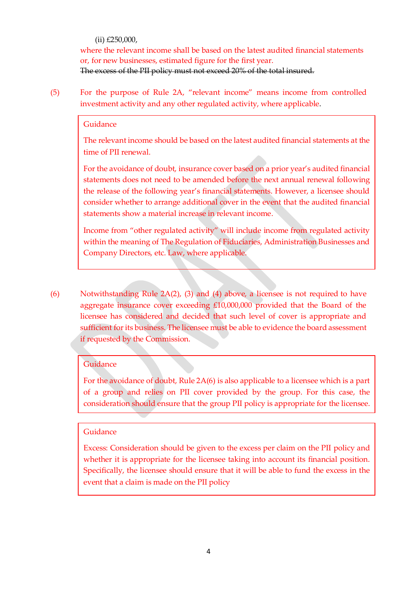(ii) £250,000,

where the relevant income shall be based on the latest audited financial statements or, for new businesses, estimated figure for the first year. The excess of the PII policy must not exceed 20% of the total insured.

(5) For the purpose of Rule 2A, "relevant income" means income from controlled investment activity and any other regulated activity, where applicable.

#### Guidance

The relevant income should be based on the latest audited financial statements at the time of PII renewal.

For the avoidance of doubt, insurance cover based on a prior year's audited financial statements does not need to be amended before the next annual renewal following the release of the following year's financial statements. However, a licensee should consider whether to arrange additional cover in the event that the audited financial statements show a material increase in relevant income.

Income from "other regulated activity" will include income from regulated activity within the meaning of The Regulation of Fiduciaries, Administration Businesses and Company Directors, etc. Law, where applicable.

(6) Notwithstanding Rule 2A(2), (3) and (4) above, a licensee is not required to have aggregate insurance cover exceeding £10,000,000 provided that the Board of the licensee has considered and decided that such level of cover is appropriate and sufficient for its business. The licensee must be able to evidence the board assessment if requested by the Commission.

#### Guidance

For the avoidance of doubt, Rule 2A(6) is also applicable to a licensee which is a part of a group and relies on PII cover provided by the group. For this case, the consideration should ensure that the group PII policy is appropriate for the licensee.

#### **Guidance**

Excess: Consideration should be given to the excess per claim on the PII policy and whether it is appropriate for the licensee taking into account its financial position. Specifically, the licensee should ensure that it will be able to fund the excess in the event that a claim is made on the PII policy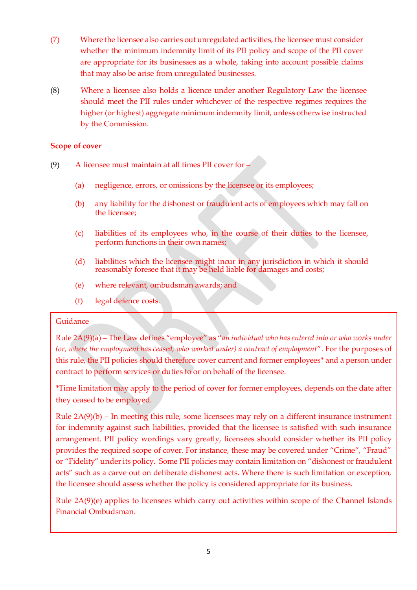- (7) Where the licensee also carries out unregulated activities, the licensee must consider whether the minimum indemnity limit of its PII policy and scope of the PII cover are appropriate for its businesses as a whole, taking into account possible claims that may also be arise from unregulated businesses.
- (8) Where a licensee also holds a licence under another Regulatory Law the licensee should meet the PII rules under whichever of the respective regimes requires the higher (or highest) aggregate minimum indemnity limit, unless otherwise instructed by the Commission.

### **Scope of cover**

- (9) A licensee must maintain at all times PII cover for
	- (a) negligence, errors, or omissions by the licensee or its employees;
	- (b) any liability for the dishonest or fraudulent acts of employees which may fall on the licensee;
	- (c) liabilities of its employees who, in the course of their duties to the licensee, perform functions in their own names;
	- (d) liabilities which the licensee might incur in any jurisdiction in which it should reasonably foresee that it may be held liable for damages and costs;
	- (e) where relevant, ombudsman awards; and
	- (f) legal defence costs.

### Guidance

Rule 2A(9)(a) – The Law defines "employee" as "*an individual who has entered into or who works under (or, where the employment has ceased, who worked under) a contract of employment*". For the purposes of this rule, the PII policies should therefore cover current and former employees\* and a person under contract to perform services or duties to or on behalf of the licensee.

\*Time limitation may apply to the period of cover for former employees, depends on the date after they ceased to be employed.

Rule 2A(9)(b) – In meeting this rule, some licensees may rely on a different insurance instrument for indemnity against such liabilities, provided that the licensee is satisfied with such insurance arrangement. PII policy wordings vary greatly, licensees should consider whether its PII policy provides the required scope of cover. For instance, these may be covered under "Crime", "Fraud" or "Fidelity" under its policy. Some PII policies may contain limitation on "dishonest or fraudulent acts" such as a carve out on deliberate dishonest acts. Where there is such limitation or exception, the licensee should assess whether the policy is considered appropriate for its business.

Rule 2A(9)(e) applies to licensees which carry out activities within scope of the Channel Islands Financial Ombudsman.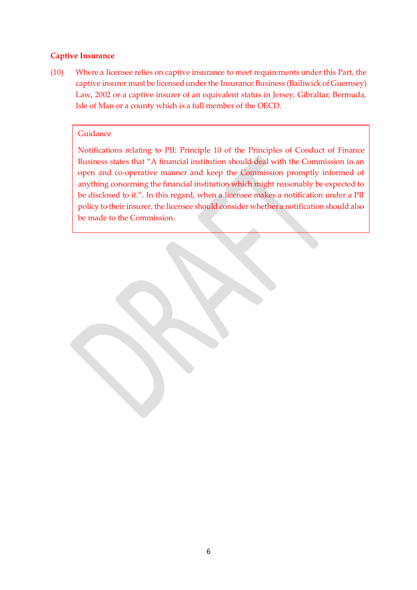#### **Captive Insurance**

(10) Where a licensee relies on captive insurance to meet requirements under this Part, the captive insurer must be licensed under the Insurance Business (Bailiwick of Guernsey) Law, 2002 or a captive insurer of an equivalent status in Jersey, Gibraltar, Bermuda, Isle of Man or a county which is a full member of the OECD.

#### **Guidance**

Notifications relating to PII: Principle 10 of the Principles of Conduct of Finance Business states that "A financial institution should deal with the Commission in an open and co-operative manner and keep the Commission promptly informed of anything concerning the financial institution which might reasonably be expected to be disclosed to it.". In this regard, when a licensee makes a notification under a PII policy to their insurer, the licensee should consider whether a notification should also be made to the Commission.